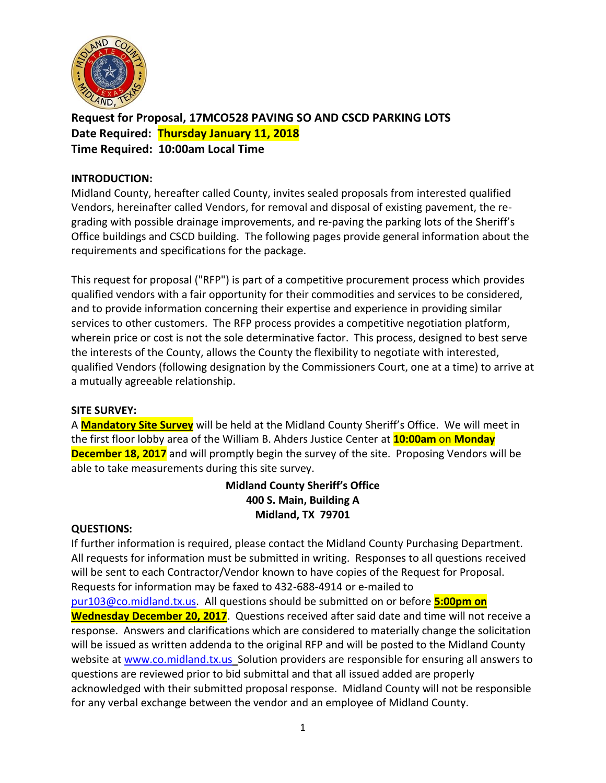

**Request for Proposal, 17MCO528 PAVING SO AND CSCD PARKING LOTS Date Required: Thursday January 11, 2018 Time Required: 10:00am Local Time**

## **INTRODUCTION:**

Midland County, hereafter called County, invites sealed proposals from interested qualified Vendors, hereinafter called Vendors, for removal and disposal of existing pavement, the regrading with possible drainage improvements, and re-paving the parking lots of the Sheriff's Office buildings and CSCD building. The following pages provide general information about the requirements and specifications for the package.

This request for proposal ("RFP") is part of a competitive procurement process which provides qualified vendors with a fair opportunity for their commodities and services to be considered, and to provide information concerning their expertise and experience in providing similar services to other customers. The RFP process provides a competitive negotiation platform, wherein price or cost is not the sole determinative factor. This process, designed to best serve the interests of the County, allows the County the flexibility to negotiate with interested, qualified Vendors (following designation by the Commissioners Court, one at a time) to arrive at a mutually agreeable relationship.

## **SITE SURVEY:**

A **Mandatory Site Survey** will be held at the Midland County Sheriff's Office. We will meet in the first floor lobby area of the William B. Ahders Justice Center at **10:00am** on **Monday December 18, 2017** and will promptly begin the survey of the site. Proposing Vendors will be able to take measurements during this site survey.

# **Midland County Sheriff's Office 400 S. Main, Building A Midland, TX 79701**

#### **QUESTIONS:**

If further information is required, please contact the Midland County Purchasing Department. All requests for information must be submitted in writing. Responses to all questions received will be sent to each Contractor/Vendor known to have copies of the Request for Proposal. Requests for information may be faxed to 432-688-4914 or e-mailed to [pur103@co.midland.tx.us.](mailto:pur103@co.midland.tx.us) All questions should be submitted on or before **5:00pm on Wednesday December 20, 2017**. Questions received after said date and time will not receive a response. Answers and clarifications which are considered to materially change the solicitation will be issued as written addenda to the original RFP and will be posted to the Midland County website at [www.co.midland.tx.us](http://www.co.midland.tx.us/) Solution providers are responsible for ensuring all answers to questions are reviewed prior to bid submittal and that all issued added are properly acknowledged with their submitted proposal response. Midland County will not be responsible for any verbal exchange between the vendor and an employee of Midland County.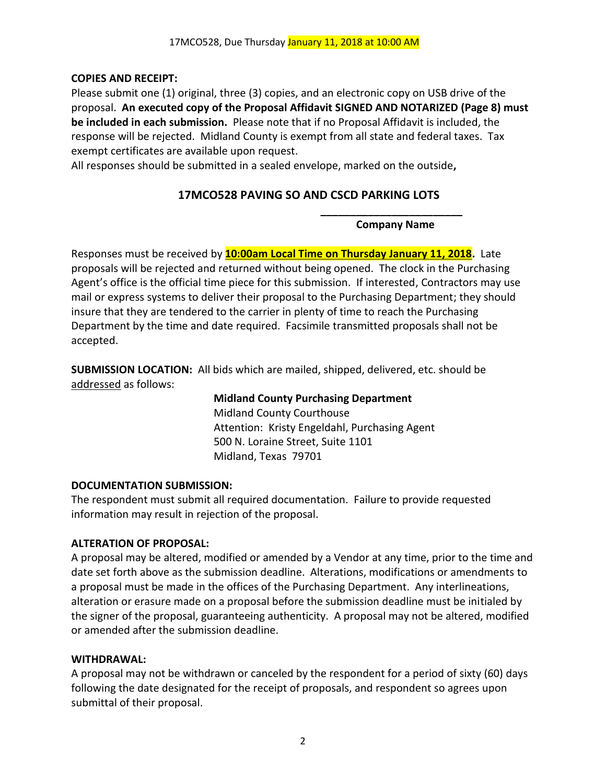# **COPIES AND RECEIPT:**

Please submit one (1) original, three (3) copies, and an electronic copy on USB drive of the proposal. **An executed copy of the Proposal Affidavit SIGNED AND NOTARIZED (Page 8) must be included in each submission.** Please note that if no Proposal Affidavit is included, the response will be rejected. Midland County is exempt from all state and federal taxes. Tax exempt certificates are available upon request.

All responses should be submitted in a sealed envelope, marked on the outside**,** 

# **17MCO528 PAVING SO AND CSCD PARKING LOTS**

**\_\_\_\_\_\_\_\_\_\_\_\_\_\_\_\_\_\_\_\_\_\_\_\_ Company Name**

Responses must be received by **10:00am Local Time on Thursday January 11, 2018.** Late proposals will be rejected and returned without being opened. The clock in the Purchasing Agent's office is the official time piece for this submission. If interested, Contractors may use mail or express systems to deliver their proposal to the Purchasing Department; they should insure that they are tendered to the carrier in plenty of time to reach the Purchasing Department by the time and date required. Facsimile transmitted proposals shall not be accepted.

**SUBMISSION LOCATION:** All bids which are mailed, shipped, delivered, etc. should be addressed as follows:

> **Midland County Purchasing Department** Midland County Courthouse Attention: Kristy Engeldahl, Purchasing Agent 500 N. Loraine Street, Suite 1101 Midland, Texas 79701

## **DOCUMENTATION SUBMISSION:**

The respondent must submit all required documentation. Failure to provide requested information may result in rejection of the proposal.

# **ALTERATION OF PROPOSAL:**

A proposal may be altered, modified or amended by a Vendor at any time, prior to the time and date set forth above as the submission deadline. Alterations, modifications or amendments to a proposal must be made in the offices of the Purchasing Department. Any interlineations, alteration or erasure made on a proposal before the submission deadline must be initialed by the signer of the proposal, guaranteeing authenticity. A proposal may not be altered, modified or amended after the submission deadline.

## **WITHDRAWAL:**

A proposal may not be withdrawn or canceled by the respondent for a period of sixty (60) days following the date designated for the receipt of proposals, and respondent so agrees upon submittal of their proposal.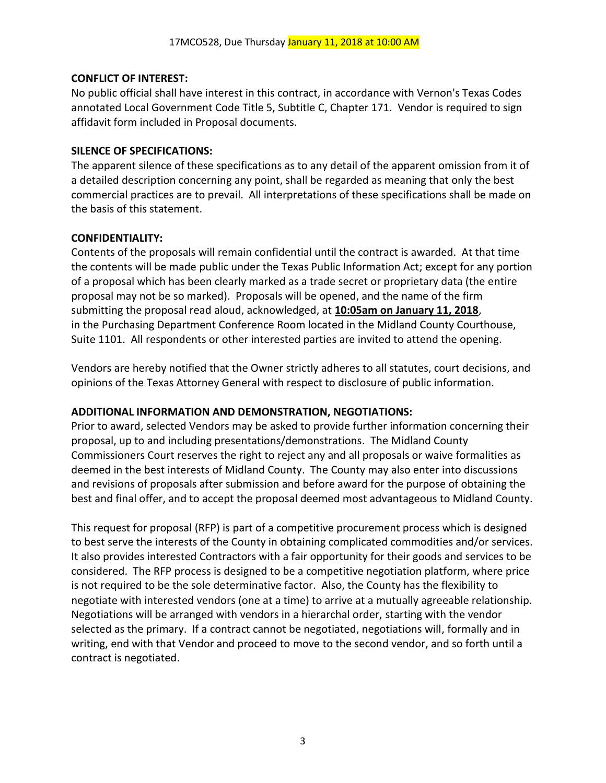# **CONFLICT OF INTEREST:**

No public official shall have interest in this contract, in accordance with Vernon's Texas Codes annotated Local Government Code Title 5, Subtitle C, Chapter 171. Vendor is required to sign affidavit form included in Proposal documents.

## **SILENCE OF SPECIFICATIONS:**

The apparent silence of these specifications as to any detail of the apparent omission from it of a detailed description concerning any point, shall be regarded as meaning that only the best commercial practices are to prevail. All interpretations of these specifications shall be made on the basis of this statement.

# **CONFIDENTIALITY:**

Contents of the proposals will remain confidential until the contract is awarded. At that time the contents will be made public under the Texas Public Information Act; except for any portion of a proposal which has been clearly marked as a trade secret or proprietary data (the entire proposal may not be so marked). Proposals will be opened, and the name of the firm submitting the proposal read aloud, acknowledged, at **10:05am on January 11, 2018**, in the Purchasing Department Conference Room located in the Midland County Courthouse, Suite 1101. All respondents or other interested parties are invited to attend the opening.

Vendors are hereby notified that the Owner strictly adheres to all statutes, court decisions, and opinions of the Texas Attorney General with respect to disclosure of public information.

# **ADDITIONAL INFORMATION AND DEMONSTRATION, NEGOTIATIONS:**

Prior to award, selected Vendors may be asked to provide further information concerning their proposal, up to and including presentations/demonstrations. The Midland County Commissioners Court reserves the right to reject any and all proposals or waive formalities as deemed in the best interests of Midland County. The County may also enter into discussions and revisions of proposals after submission and before award for the purpose of obtaining the best and final offer, and to accept the proposal deemed most advantageous to Midland County.

This request for proposal (RFP) is part of a competitive procurement process which is designed to best serve the interests of the County in obtaining complicated commodities and/or services. It also provides interested Contractors with a fair opportunity for their goods and services to be considered. The RFP process is designed to be a competitive negotiation platform, where price is not required to be the sole determinative factor. Also, the County has the flexibility to negotiate with interested vendors (one at a time) to arrive at a mutually agreeable relationship. Negotiations will be arranged with vendors in a hierarchal order, starting with the vendor selected as the primary. If a contract cannot be negotiated, negotiations will, formally and in writing, end with that Vendor and proceed to move to the second vendor, and so forth until a contract is negotiated.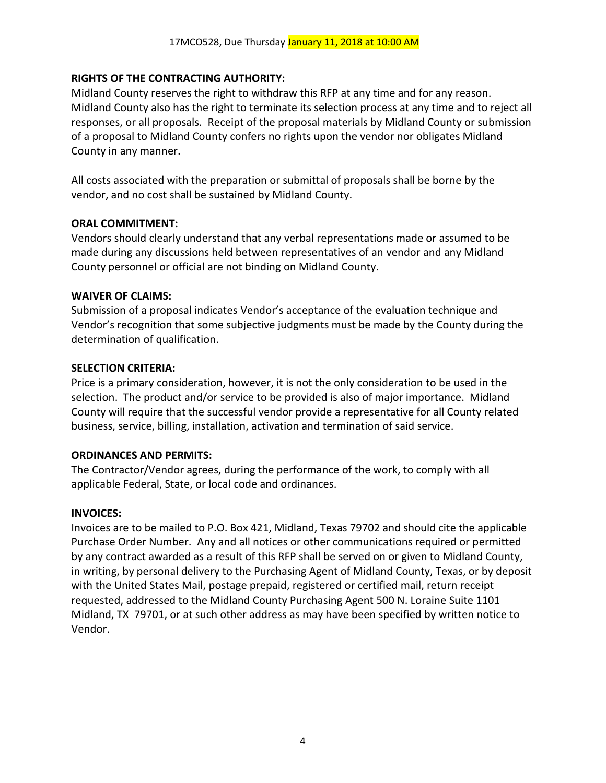# **RIGHTS OF THE CONTRACTING AUTHORITY:**

Midland County reserves the right to withdraw this RFP at any time and for any reason. Midland County also has the right to terminate its selection process at any time and to reject all responses, or all proposals. Receipt of the proposal materials by Midland County or submission of a proposal to Midland County confers no rights upon the vendor nor obligates Midland County in any manner.

All costs associated with the preparation or submittal of proposals shall be borne by the vendor, and no cost shall be sustained by Midland County.

## **ORAL COMMITMENT:**

Vendors should clearly understand that any verbal representations made or assumed to be made during any discussions held between representatives of an vendor and any Midland County personnel or official are not binding on Midland County.

## **WAIVER OF CLAIMS:**

Submission of a proposal indicates Vendor's acceptance of the evaluation technique and Vendor's recognition that some subjective judgments must be made by the County during the determination of qualification.

## **SELECTION CRITERIA:**

Price is a primary consideration, however, it is not the only consideration to be used in the selection. The product and/or service to be provided is also of major importance. Midland County will require that the successful vendor provide a representative for all County related business, service, billing, installation, activation and termination of said service.

# **ORDINANCES AND PERMITS:**

The Contractor/Vendor agrees, during the performance of the work, to comply with all applicable Federal, State, or local code and ordinances.

# **INVOICES:**

Invoices are to be mailed to P.O. Box 421, Midland, Texas 79702 and should cite the applicable Purchase Order Number. Any and all notices or other communications required or permitted by any contract awarded as a result of this RFP shall be served on or given to Midland County, in writing, by personal delivery to the Purchasing Agent of Midland County, Texas, or by deposit with the United States Mail, postage prepaid, registered or certified mail, return receipt requested, addressed to the Midland County Purchasing Agent 500 N. Loraine Suite 1101 Midland, TX 79701, or at such other address as may have been specified by written notice to Vendor.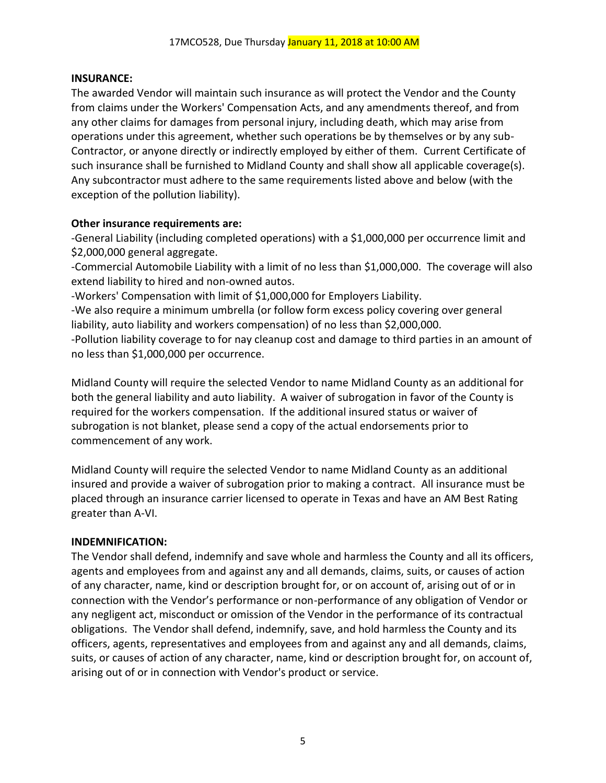# **INSURANCE:**

The awarded Vendor will maintain such insurance as will protect the Vendor and the County from claims under the Workers' Compensation Acts, and any amendments thereof, and from any other claims for damages from personal injury, including death, which may arise from operations under this agreement, whether such operations be by themselves or by any sub-Contractor, or anyone directly or indirectly employed by either of them. Current Certificate of such insurance shall be furnished to Midland County and shall show all applicable coverage(s). Any subcontractor must adhere to the same requirements listed above and below (with the exception of the pollution liability).

# **Other insurance requirements are:**

-General Liability (including completed operations) with a \$1,000,000 per occurrence limit and \$2,000,000 general aggregate.

-Commercial Automobile Liability with a limit of no less than \$1,000,000. The coverage will also extend liability to hired and non-owned autos.

-Workers' Compensation with limit of \$1,000,000 for Employers Liability.

-We also require a minimum umbrella (or follow form excess policy covering over general liability, auto liability and workers compensation) of no less than \$2,000,000.

-Pollution liability coverage to for nay cleanup cost and damage to third parties in an amount of no less than \$1,000,000 per occurrence.

Midland County will require the selected Vendor to name Midland County as an additional for both the general liability and auto liability. A waiver of subrogation in favor of the County is required for the workers compensation. If the additional insured status or waiver of subrogation is not blanket, please send a copy of the actual endorsements prior to commencement of any work.

Midland County will require the selected Vendor to name Midland County as an additional insured and provide a waiver of subrogation prior to making a contract. All insurance must be placed through an insurance carrier licensed to operate in Texas and have an AM Best Rating greater than A-VI.

# **INDEMNIFICATION:**

The Vendor shall defend, indemnify and save whole and harmless the County and all its officers, agents and employees from and against any and all demands, claims, suits, or causes of action of any character, name, kind or description brought for, or on account of, arising out of or in connection with the Vendor's performance or non-performance of any obligation of Vendor or any negligent act, misconduct or omission of the Vendor in the performance of its contractual obligations. The Vendor shall defend, indemnify, save, and hold harmless the County and its officers, agents, representatives and employees from and against any and all demands, claims, suits, or causes of action of any character, name, kind or description brought for, on account of, arising out of or in connection with Vendor's product or service.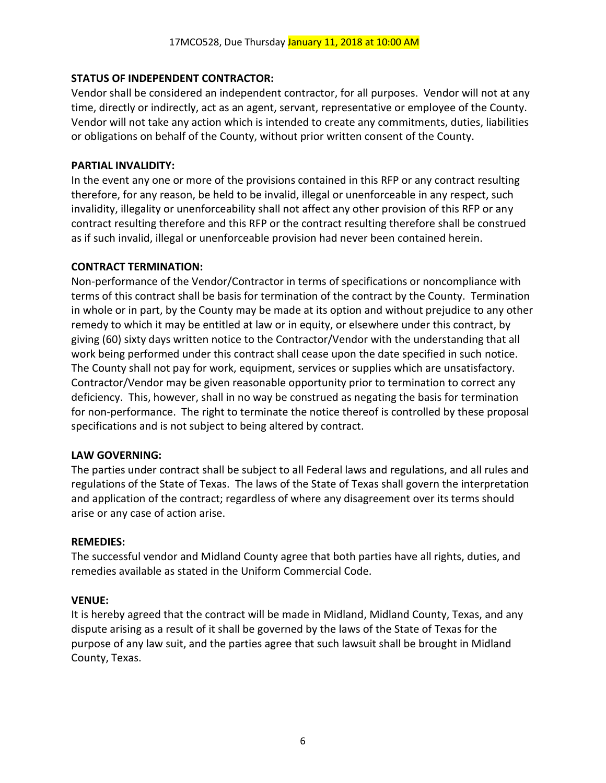# **STATUS OF INDEPENDENT CONTRACTOR:**

Vendor shall be considered an independent contractor, for all purposes. Vendor will not at any time, directly or indirectly, act as an agent, servant, representative or employee of the County. Vendor will not take any action which is intended to create any commitments, duties, liabilities or obligations on behalf of the County, without prior written consent of the County.

# **PARTIAL INVALIDITY:**

In the event any one or more of the provisions contained in this RFP or any contract resulting therefore, for any reason, be held to be invalid, illegal or unenforceable in any respect, such invalidity, illegality or unenforceability shall not affect any other provision of this RFP or any contract resulting therefore and this RFP or the contract resulting therefore shall be construed as if such invalid, illegal or unenforceable provision had never been contained herein.

# **CONTRACT TERMINATION:**

Non-performance of the Vendor/Contractor in terms of specifications or noncompliance with terms of this contract shall be basis for termination of the contract by the County. Termination in whole or in part, by the County may be made at its option and without prejudice to any other remedy to which it may be entitled at law or in equity, or elsewhere under this contract, by giving (60) sixty days written notice to the Contractor/Vendor with the understanding that all work being performed under this contract shall cease upon the date specified in such notice. The County shall not pay for work, equipment, services or supplies which are unsatisfactory. Contractor/Vendor may be given reasonable opportunity prior to termination to correct any deficiency. This, however, shall in no way be construed as negating the basis for termination for non-performance. The right to terminate the notice thereof is controlled by these proposal specifications and is not subject to being altered by contract.

# **LAW GOVERNING:**

The parties under contract shall be subject to all Federal laws and regulations, and all rules and regulations of the State of Texas. The laws of the State of Texas shall govern the interpretation and application of the contract; regardless of where any disagreement over its terms should arise or any case of action arise.

# **REMEDIES:**

The successful vendor and Midland County agree that both parties have all rights, duties, and remedies available as stated in the Uniform Commercial Code.

# **VENUE:**

It is hereby agreed that the contract will be made in Midland, Midland County, Texas, and any dispute arising as a result of it shall be governed by the laws of the State of Texas for the purpose of any law suit, and the parties agree that such lawsuit shall be brought in Midland County, Texas.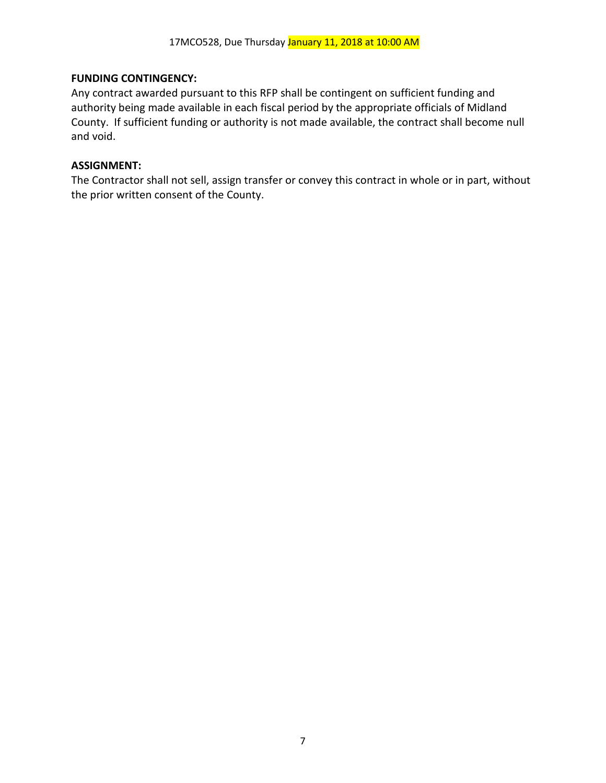# **FUNDING CONTINGENCY:**

Any contract awarded pursuant to this RFP shall be contingent on sufficient funding and authority being made available in each fiscal period by the appropriate officials of Midland County. If sufficient funding or authority is not made available, the contract shall become null and void.

## **ASSIGNMENT:**

The Contractor shall not sell, assign transfer or convey this contract in whole or in part, without the prior written consent of the County.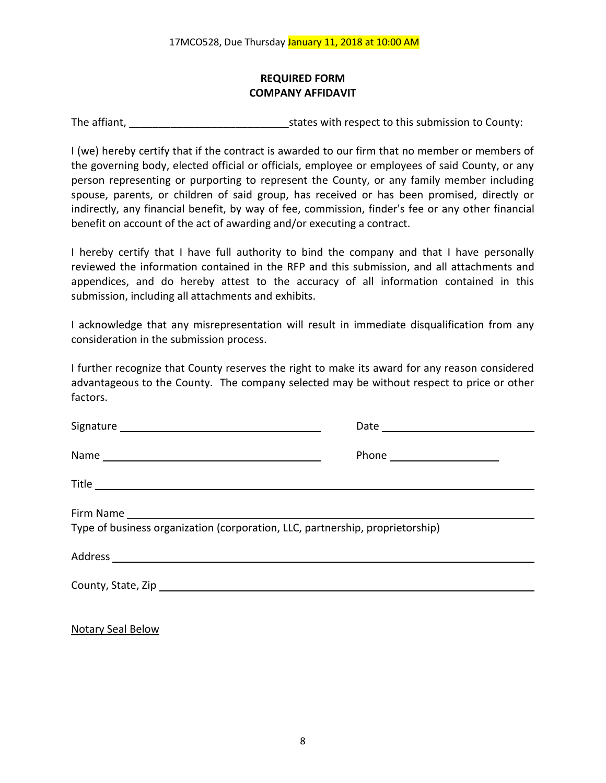# **REQUIRED FORM COMPANY AFFIDAVIT**

The affiant, The affiant, The affiant,  $\frac{1}{2}$  states with respect to this submission to County:

I (we) hereby certify that if the contract is awarded to our firm that no member or members of the governing body, elected official or officials, employee or employees of said County, or any person representing or purporting to represent the County, or any family member including spouse, parents, or children of said group, has received or has been promised, directly or indirectly, any financial benefit, by way of fee, commission, finder's fee or any other financial benefit on account of the act of awarding and/or executing a contract.

I hereby certify that I have full authority to bind the company and that I have personally reviewed the information contained in the RFP and this submission, and all attachments and appendices, and do hereby attest to the accuracy of all information contained in this submission, including all attachments and exhibits.

I acknowledge that any misrepresentation will result in immediate disqualification from any consideration in the submission process.

I further recognize that County reserves the right to make its award for any reason considered advantageous to the County. The company selected may be without respect to price or other factors.

| Type of business organization (corporation, LLC, partnership, proprietorship) |  |  |
|-------------------------------------------------------------------------------|--|--|
|                                                                               |  |  |
|                                                                               |  |  |
|                                                                               |  |  |

Notary Seal Below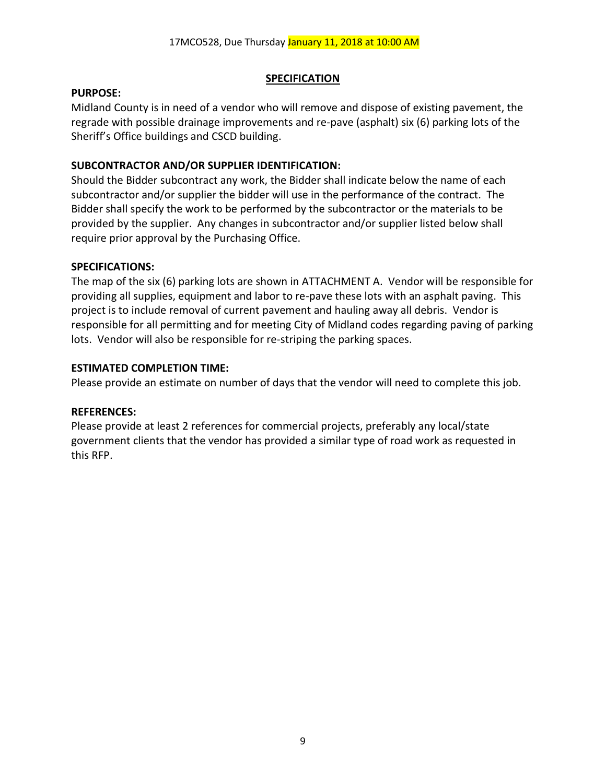## **SPECIFICATION**

## **PURPOSE:**

Midland County is in need of a vendor who will remove and dispose of existing pavement, the regrade with possible drainage improvements and re-pave (asphalt) six (6) parking lots of the Sheriff's Office buildings and CSCD building.

# **SUBCONTRACTOR AND/OR SUPPLIER IDENTIFICATION:**

Should the Bidder subcontract any work, the Bidder shall indicate below the name of each subcontractor and/or supplier the bidder will use in the performance of the contract. The Bidder shall specify the work to be performed by the subcontractor or the materials to be provided by the supplier. Any changes in subcontractor and/or supplier listed below shall require prior approval by the Purchasing Office.

## **SPECIFICATIONS:**

The map of the six (6) parking lots are shown in ATTACHMENT A. Vendor will be responsible for providing all supplies, equipment and labor to re-pave these lots with an asphalt paving. This project is to include removal of current pavement and hauling away all debris. Vendor is responsible for all permitting and for meeting City of Midland codes regarding paving of parking lots. Vendor will also be responsible for re-striping the parking spaces.

## **ESTIMATED COMPLETION TIME:**

Please provide an estimate on number of days that the vendor will need to complete this job.

## **REFERENCES:**

Please provide at least 2 references for commercial projects, preferably any local/state government clients that the vendor has provided a similar type of road work as requested in this RFP.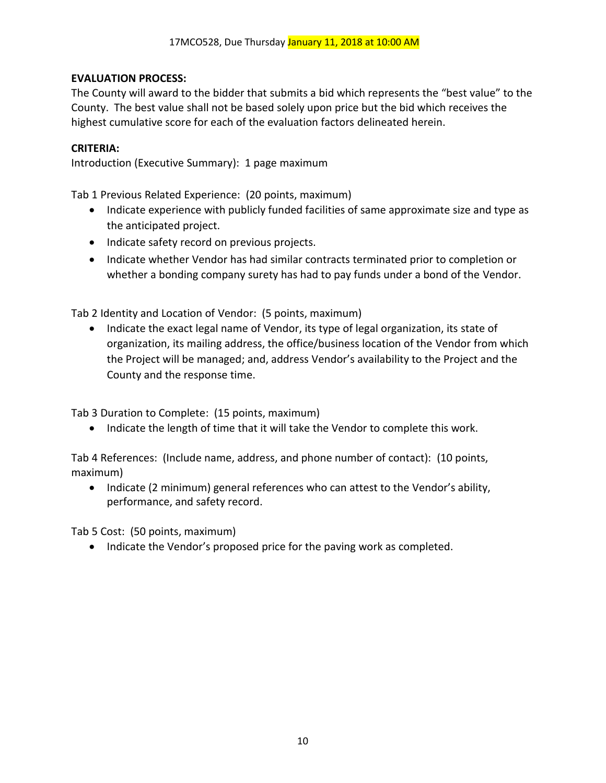# **EVALUATION PROCESS:**

The County will award to the bidder that submits a bid which represents the "best value" to the County. The best value shall not be based solely upon price but the bid which receives the highest cumulative score for each of the evaluation factors delineated herein.

## **CRITERIA:**

Introduction (Executive Summary): 1 page maximum

Tab 1 Previous Related Experience: (20 points, maximum)

- Indicate experience with publicly funded facilities of same approximate size and type as the anticipated project.
- Indicate safety record on previous projects.
- Indicate whether Vendor has had similar contracts terminated prior to completion or whether a bonding company surety has had to pay funds under a bond of the Vendor.

Tab 2 Identity and Location of Vendor: (5 points, maximum)

• Indicate the exact legal name of Vendor, its type of legal organization, its state of organization, its mailing address, the office/business location of the Vendor from which the Project will be managed; and, address Vendor's availability to the Project and the County and the response time.

Tab 3 Duration to Complete: (15 points, maximum)

• Indicate the length of time that it will take the Vendor to complete this work.

Tab 4 References: (Include name, address, and phone number of contact): (10 points, maximum)

• Indicate (2 minimum) general references who can attest to the Vendor's ability, performance, and safety record.

Tab 5 Cost: (50 points, maximum)

• Indicate the Vendor's proposed price for the paving work as completed.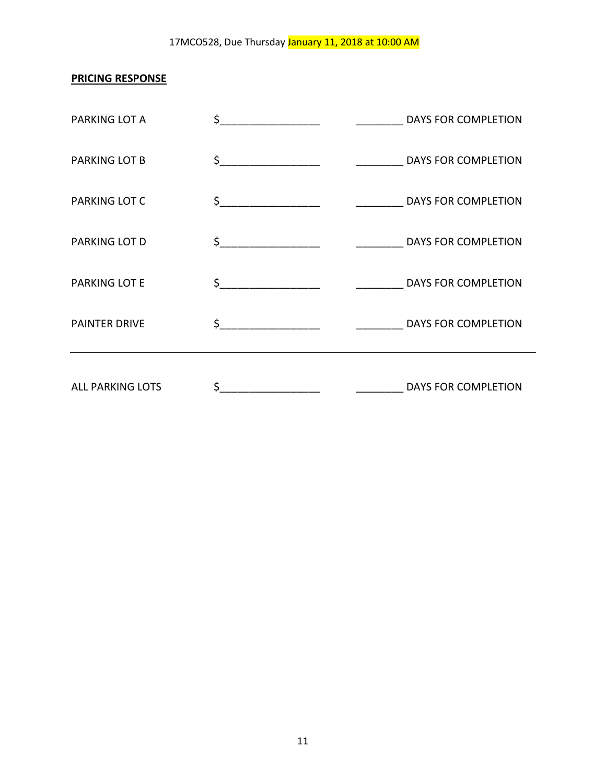# 17MCO528, Due Thursday January 11, 2018 at 10:00 AM

# **PRICING RESPONSE**

| PARKING LOT A           | DAYS FOR COMPLETION       |
|-------------------------|---------------------------|
| PARKING LOT B           |                           |
| PARKING LOT C           | DAYS FOR COMPLETION       |
| PARKING LOT D           | \$<br>DAYS FOR COMPLETION |
| PARKING LOT E           |                           |
| <b>PAINTER DRIVE</b>    |                           |
| <b>ALL PARKING LOTS</b> | \$<br>DAYS FOR COMPLETION |